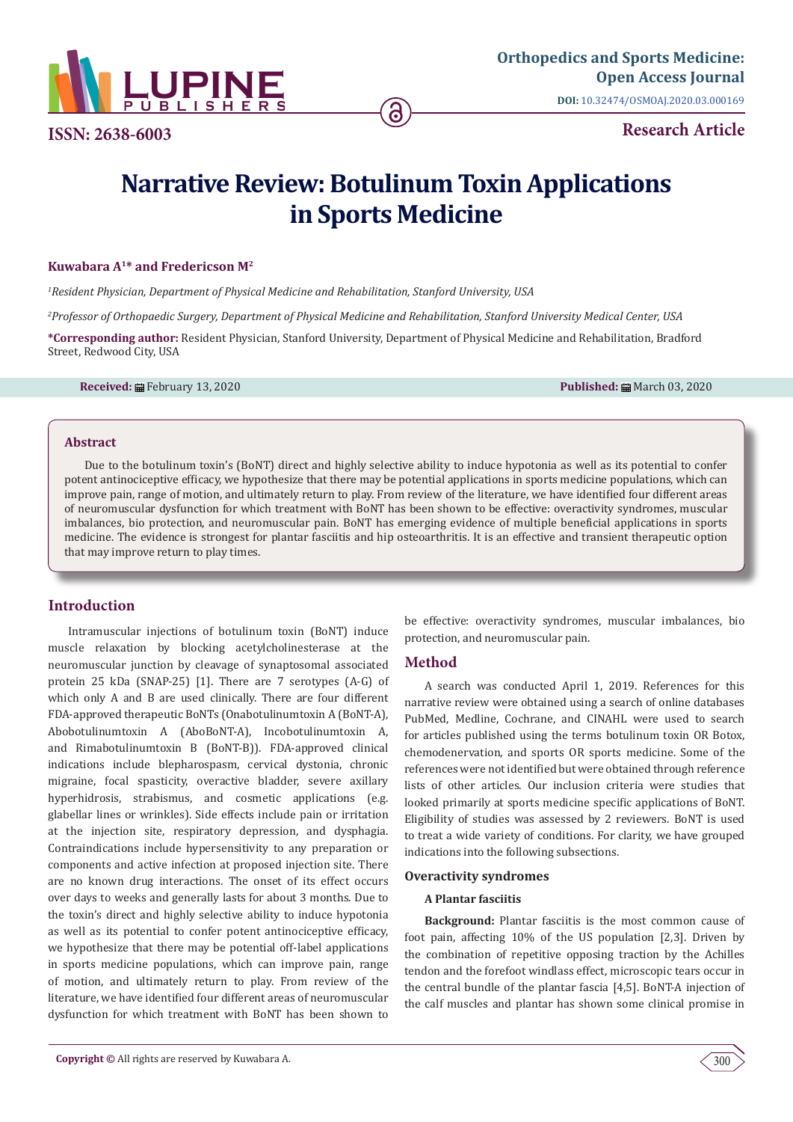

**Research Article ISSN: 2638-6003**

# **Narrative Review: Botulinum Toxin Applications in Sports Medicine**

## **Kuwabara A1\* and Fredericson M2**

*1 Resident Physician, Department of Physical Medicine and Rehabilitation, Stanford University, USA*

*2 Professor of Orthopaedic Surgery, Department of Physical Medicine and Rehabilitation, Stanford University Medical Center, USA*

**\*Corresponding author:** Resident Physician, Stanford University, Department of Physical Medicine and Rehabilitation, Bradford Street, Redwood City, USA

**Received:** February 13, 2020 **Published:** March 03, 2020

## **Abstract**

Due to the botulinum toxin's (BoNT) direct and highly selective ability to induce hypotonia as well as its potential to confer potent antinociceptive efficacy, we hypothesize that there may be potential applications in sports medicine populations, which can improve pain, range of motion, and ultimately return to play. From review of the literature, we have identified four different areas of neuromuscular dysfunction for which treatment with BoNT has been shown to be effective: overactivity syndromes, muscular imbalances, bio protection, and neuromuscular pain. BoNT has emerging evidence of multiple beneficial applications in sports medicine. The evidence is strongest for plantar fasciitis and hip osteoarthritis. It is an effective and transient therapeutic option that may improve return to play times.

# **Introduction**

Intramuscular injections of botulinum toxin (BoNT) induce muscle relaxation by blocking acetylcholinesterase at the neuromuscular junction by cleavage of synaptosomal associated protein 25 kDa (SNAP-25) [1]. There are 7 serotypes (A-G) of which only A and B are used clinically. There are four different FDA-approved therapeutic BoNTs (Onabotulinumtoxin A (BoNT-A), Abobotulinumtoxin A (AboBoNT-A), Incobotulinumtoxin A, and Rimabotulinumtoxin B (BoNT-B)). FDA-approved clinical indications include blepharospasm, cervical dystonia, chronic migraine, focal spasticity, overactive bladder, severe axillary hyperhidrosis, strabismus, and cosmetic applications (e.g. glabellar lines or wrinkles). Side effects include pain or irritation at the injection site, respiratory depression, and dysphagia. Contraindications include hypersensitivity to any preparation or components and active infection at proposed injection site. There are no known drug interactions. The onset of its effect occurs over days to weeks and generally lasts for about 3 months. Due to the toxin's direct and highly selective ability to induce hypotonia as well as its potential to confer potent antinociceptive efficacy, we hypothesize that there may be potential off-label applications in sports medicine populations, which can improve pain, range of motion, and ultimately return to play. From review of the literature, we have identified four different areas of neuromuscular dysfunction for which treatment with BoNT has been shown to

be effective: overactivity syndromes, muscular imbalances, bio protection, and neuromuscular pain.

# **Method**

A search was conducted April 1, 2019. References for this narrative review were obtained using a search of online databases PubMed, Medline, Cochrane, and CINAHL were used to search for articles published using the terms botulinum toxin OR Botox, chemodenervation, and sports OR sports medicine. Some of the references were not identified but were obtained through reference lists of other articles. Our inclusion criteria were studies that looked primarily at sports medicine specific applications of BoNT. Eligibility of studies was assessed by 2 reviewers. BoNT is used to treat a wide variety of conditions. For clarity, we have grouped indications into the following subsections.

#### **Overactivity syndromes**

## **A Plantar fasciitis**

**Background:** Plantar fasciitis is the most common cause of foot pain, affecting 10% of the US population [2,3]. Driven by the combination of repetitive opposing traction by the Achilles tendon and the forefoot windlass effect, microscopic tears occur in the central bundle of the plantar fascia [4,5]. BoNT-A injection of the calf muscles and plantar has shown some clinical promise in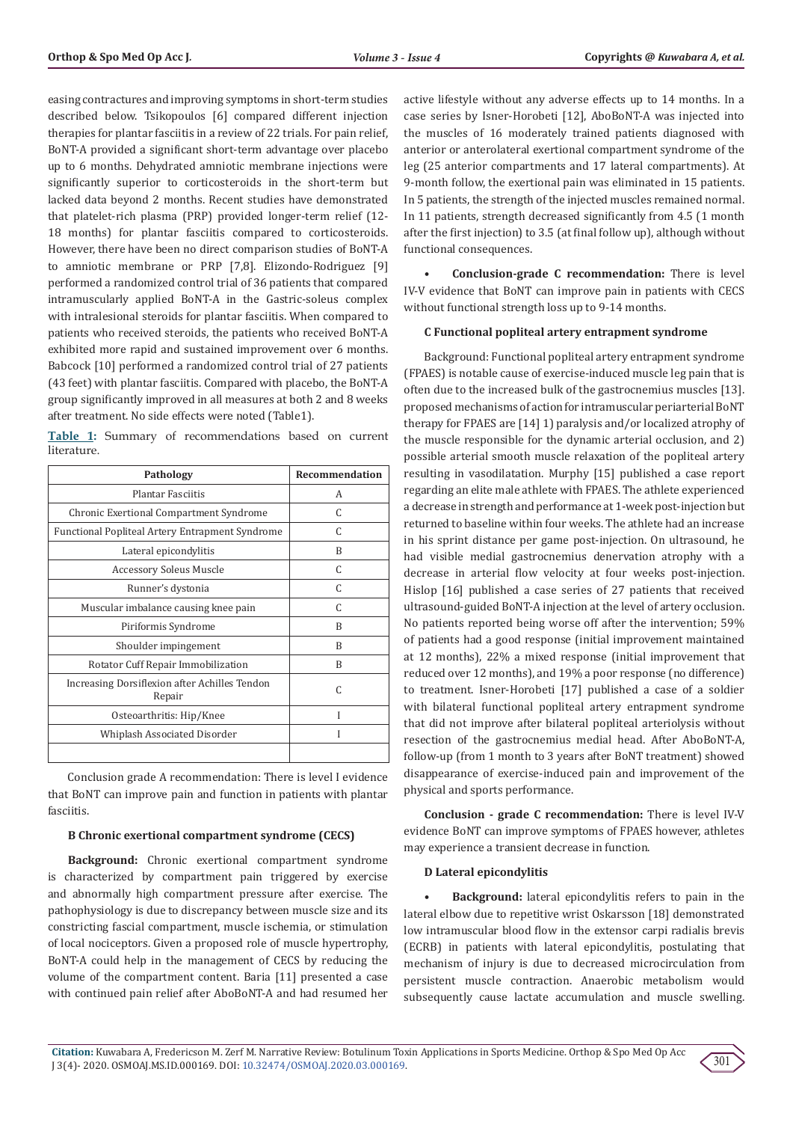easing contractures and improving symptoms in short-term studies described below. Tsikopoulos [6] compared different injection therapies for plantar fasciitis in a review of 22 trials. For pain relief, BoNT-A provided a significant short-term advantage over placebo up to 6 months. Dehydrated amniotic membrane injections were significantly superior to corticosteroids in the short-term but lacked data beyond 2 months. Recent studies have demonstrated that platelet-rich plasma (PRP) provided longer-term relief (12- 18 months) for plantar fasciitis compared to corticosteroids. However, there have been no direct comparison studies of BoNT-A to amniotic membrane or PRP [7,8]. Elizondo-Rodriguez [9] performed a randomized control trial of 36 patients that compared intramuscularly applied BoNT-A in the Gastric-soleus complex with intralesional steroids for plantar fasciitis. When compared to patients who received steroids, the patients who received BoNT-A exhibited more rapid and sustained improvement over 6 months. Babcock [10] performed a randomized control trial of 27 patients (43 feet) with plantar fasciitis. Compared with placebo, the BoNT-A group significantly improved in all measures at both 2 and 8 weeks after treatment. No side effects were noted (Table1).

**Table 1:** Summary of recommendations based on current literature.

| Pathology                                               | Recommendation |
|---------------------------------------------------------|----------------|
| Plantar Fasciitis                                       | A              |
| <b>Chronic Exertional Compartment Syndrome</b>          | C              |
| Functional Popliteal Artery Entrapment Syndrome         | C              |
| Lateral epicondylitis                                   | R              |
| <b>Accessory Soleus Muscle</b>                          | C              |
| Runner's dystonia                                       | C              |
| Muscular imbalance causing knee pain                    | C              |
| Piriformis Syndrome                                     | B              |
| Shoulder impingement                                    | B              |
| Rotator Cuff Repair Immobilization                      | R              |
| Increasing Dorsiflexion after Achilles Tendon<br>Repair | C              |
| Osteoarthritis: Hip/Knee                                |                |
| Whiplash Associated Disorder                            |                |
|                                                         |                |

Conclusion grade A recommendation: There is level I evidence that BoNT can improve pain and function in patients with plantar fasciitis.

#### **B Chronic exertional compartment syndrome (CECS)**

**Background:** Chronic exertional compartment syndrome is characterized by compartment pain triggered by exercise and abnormally high compartment pressure after exercise. The pathophysiology is due to discrepancy between muscle size and its constricting fascial compartment, muscle ischemia, or stimulation of local nociceptors. Given a proposed role of muscle hypertrophy, BoNT-A could help in the management of CECS by reducing the volume of the compartment content. Baria [11] presented a case with continued pain relief after AboBoNT-A and had resumed her active lifestyle without any adverse effects up to 14 months. In a case series by Isner-Horobeti [12], AboBoNT-A was injected into the muscles of 16 moderately trained patients diagnosed with anterior or anterolateral exertional compartment syndrome of the leg (25 anterior compartments and 17 lateral compartments). At 9-month follow, the exertional pain was eliminated in 15 patients. In 5 patients, the strength of the injected muscles remained normal. In 11 patients, strength decreased significantly from 4.5 (1 month after the first injection) to 3.5 (at final follow up), although without functional consequences.

**• Conclusion-grade C recommendation:** There is level IV-V evidence that BoNT can improve pain in patients with CECS without functional strength loss up to 9-14 months.

## **C Functional popliteal artery entrapment syndrome**

Background: Functional popliteal artery entrapment syndrome (FPAES) is notable cause of exercise-induced muscle leg pain that is often due to the increased bulk of the gastrocnemius muscles [13]. proposed mechanisms of action for intramuscular periarterial BoNT therapy for FPAES are [14] 1) paralysis and/or localized atrophy of the muscle responsible for the dynamic arterial occlusion, and 2) possible arterial smooth muscle relaxation of the popliteal artery resulting in vasodilatation. Murphy [15] published a case report regarding an elite male athlete with FPAES. The athlete experienced a decrease in strength and performance at 1-week post-injection but returned to baseline within four weeks. The athlete had an increase in his sprint distance per game post-injection. On ultrasound, he had visible medial gastrocnemius denervation atrophy with a decrease in arterial flow velocity at four weeks post-injection. Hislop [16] published a case series of 27 patients that received ultrasound-guided BoNT-A injection at the level of artery occlusion. No patients reported being worse off after the intervention; 59% of patients had a good response (initial improvement maintained at 12 months), 22% a mixed response (initial improvement that reduced over 12 months), and 19% a poor response (no difference) to treatment. Isner-Horobeti [17] published a case of a soldier with bilateral functional popliteal artery entrapment syndrome that did not improve after bilateral popliteal arteriolysis without resection of the gastrocnemius medial head. After AboBoNT-A, follow-up (from 1 month to 3 years after BoNT treatment) showed disappearance of exercise-induced pain and improvement of the physical and sports performance.

**Conclusion - grade C recommendation:** There is level IV-V evidence BoNT can improve symptoms of FPAES however, athletes may experience a transient decrease in function.

#### **D Lateral epicondylitis**

**• Background:** lateral epicondylitis refers to pain in the lateral elbow due to repetitive wrist Oskarsson [18] demonstrated low intramuscular blood flow in the extensor carpi radialis brevis (ECRB) in patients with lateral epicondylitis, postulating that mechanism of injury is due to decreased microcirculation from persistent muscle contraction. Anaerobic metabolism would subsequently cause lactate accumulation and muscle swelling.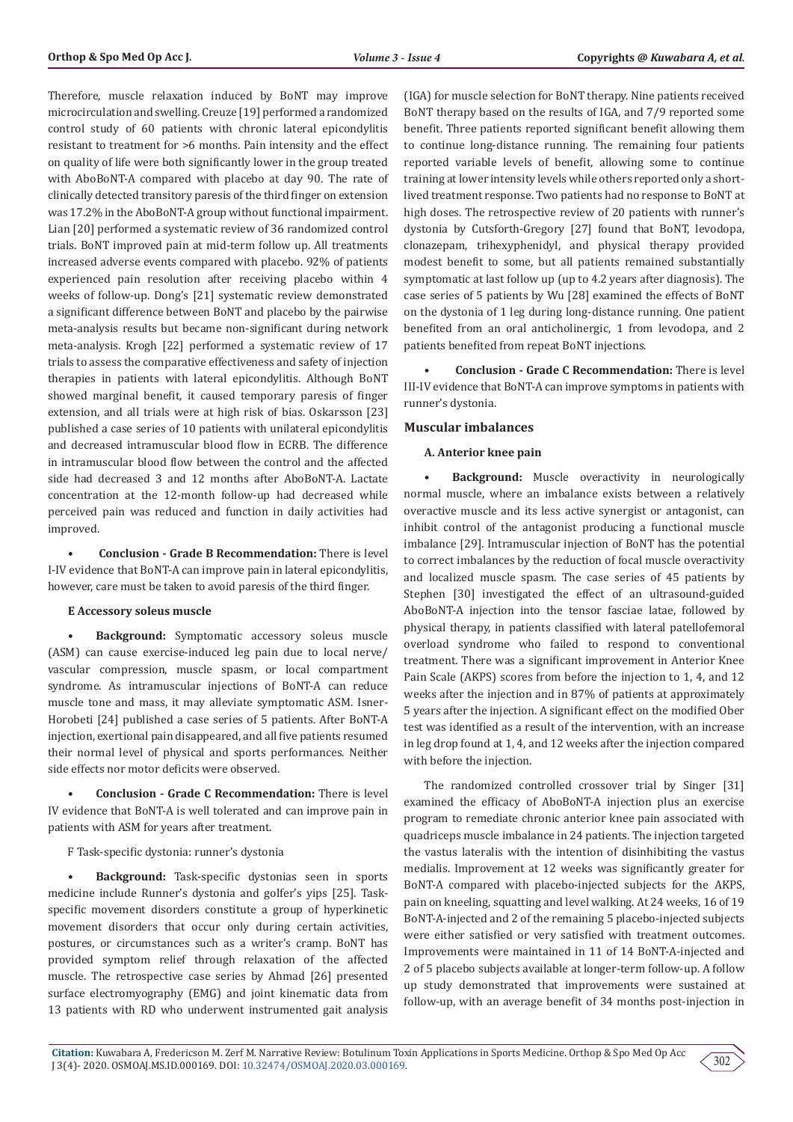Therefore, muscle relaxation induced by BoNT may improve microcirculation and swelling. Creuze [19] performed a randomized control study of 60 patients with chronic lateral epicondylitis resistant to treatment for >6 months. Pain intensity and the effect on quality of life were both significantly lower in the group treated with AboBoNT-A compared with placebo at day 90. The rate of clinically detected transitory paresis of the third finger on extension was 17.2% in the AboBoNT-A group without functional impairment. Lian [20] performed a systematic review of 36 randomized control trials. BoNT improved pain at mid-term follow up. All treatments increased adverse events compared with placebo. 92% of patients experienced pain resolution after receiving placebo within 4 weeks of follow-up. Dong's [21] systematic review demonstrated a significant difference between BoNT and placebo by the pairwise meta-analysis results but became non-significant during network meta-analysis. Krogh [22] performed a systematic review of 17 trials to assess the comparative effectiveness and safety of injection therapies in patients with lateral epicondylitis. Although BoNT showed marginal benefit, it caused temporary paresis of finger extension, and all trials were at high risk of bias. Oskarsson [23] published a case series of 10 patients with unilateral epicondylitis and decreased intramuscular blood flow in ECRB. The difference in intramuscular blood flow between the control and the affected side had decreased 3 and 12 months after AboBoNT-A. Lactate concentration at the 12-month follow-up had decreased while perceived pain was reduced and function in daily activities had improved.

**• Conclusion - Grade B Recommendation:** There is level I-IV evidence that BoNT-A can improve pain in lateral epicondylitis, however, care must be taken to avoid paresis of the third finger.

## **E Accessory soleus muscle**

**• Background:** Symptomatic accessory soleus muscle (ASM) can cause exercise-induced leg pain due to local nerve/ vascular compression, muscle spasm, or local compartment syndrome. As intramuscular injections of BoNT-A can reduce muscle tone and mass, it may alleviate symptomatic ASM. Isner-Horobeti [24] published a case series of 5 patients. After BoNT-A injection, exertional pain disappeared, and all five patients resumed their normal level of physical and sports performances. Neither side effects nor motor deficits were observed.

**• Conclusion - Grade C Recommendation:** There is level IV evidence that BoNT-A is well tolerated and can improve pain in patients with ASM for years after treatment.

F Task-specific dystonia: runner's dystonia

**• Background:** Task-specific dystonias seen in sports medicine include Runner's dystonia and golfer's yips [25]. Taskspecific movement disorders constitute a group of hyperkinetic movement disorders that occur only during certain activities, postures, or circumstances such as a writer's cramp. BoNT has provided symptom relief through relaxation of the affected muscle. The retrospective case series by Ahmad [26] presented surface electromyography (EMG) and joint kinematic data from 13 patients with RD who underwent instrumented gait analysis

(IGA) for muscle selection for BoNT therapy. Nine patients received BoNT therapy based on the results of IGA, and 7/9 reported some benefit. Three patients reported significant benefit allowing them to continue long-distance running. The remaining four patients reported variable levels of benefit, allowing some to continue training at lower intensity levels while others reported only a shortlived treatment response. Two patients had no response to BoNT at high doses. The retrospective review of 20 patients with runner's dystonia by Cutsforth-Gregory [27] found that BoNT, levodopa, clonazepam, trihexyphenidyl, and physical therapy provided modest benefit to some, but all patients remained substantially symptomatic at last follow up (up to 4.2 years after diagnosis). The case series of 5 patients by Wu [28] examined the effects of BoNT on the dystonia of 1 leg during long-distance running. One patient benefited from an oral anticholinergic, 1 from levodopa, and 2 patients benefited from repeat BoNT injections.

**• Conclusion - Grade C Recommendation:** There is level III-IV evidence that BoNT-A can improve symptoms in patients with runner's dystonia.

## **Muscular imbalances**

## **A. Anterior knee pain**

**• Background:** Muscle overactivity in neurologically normal muscle, where an imbalance exists between a relatively overactive muscle and its less active synergist or antagonist, can inhibit control of the antagonist producing a functional muscle imbalance [29]. Intramuscular injection of BoNT has the potential to correct imbalances by the reduction of focal muscle overactivity and localized muscle spasm. The case series of 45 patients by Stephen [30] investigated the effect of an ultrasound-guided AboBoNT-A injection into the tensor fasciae latae, followed by physical therapy, in patients classified with lateral patellofemoral overload syndrome who failed to respond to conventional treatment. There was a significant improvement in Anterior Knee Pain Scale (AKPS) scores from before the injection to 1, 4, and 12 weeks after the injection and in 87% of patients at approximately 5 years after the injection. A significant effect on the modified Ober test was identified as a result of the intervention, with an increase in leg drop found at 1, 4, and 12 weeks after the injection compared with before the injection.

The randomized controlled crossover trial by Singer [31] examined the efficacy of AboBoNT-A injection plus an exercise program to remediate chronic anterior knee pain associated with quadriceps muscle imbalance in 24 patients. The injection targeted the vastus lateralis with the intention of disinhibiting the vastus medialis. Improvement at 12 weeks was significantly greater for BoNT-A compared with placebo-injected subjects for the AKPS, pain on kneeling, squatting and level walking. At 24 weeks, 16 of 19 BoNT-A-injected and 2 of the remaining 5 placebo-injected subjects were either satisfied or very satisfied with treatment outcomes. Improvements were maintained in 11 of 14 BoNT-A-injected and 2 of 5 placebo subjects available at longer-term follow-up. A follow up study demonstrated that improvements were sustained at follow-up, with an average benefit of 34 months post-injection in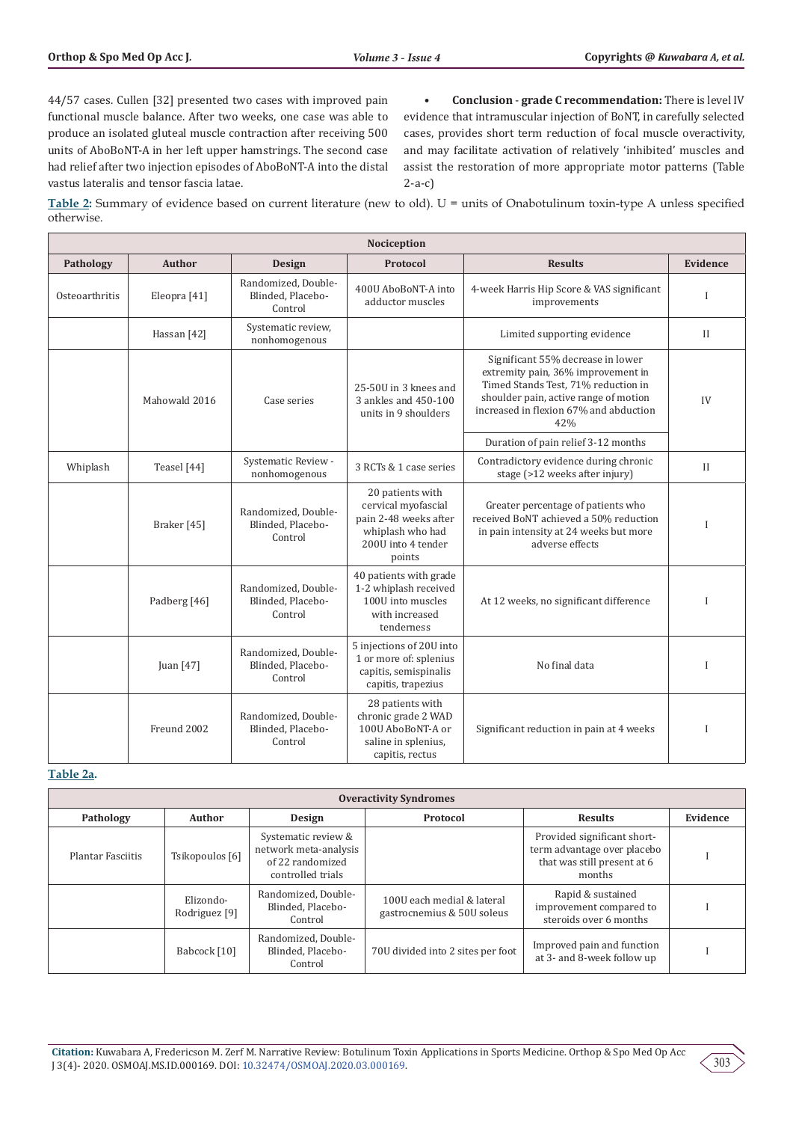44/57 cases. Cullen [32] presented two cases with improved pain functional muscle balance. After two weeks, one case was able to produce an isolated gluteal muscle contraction after receiving 500 units of AboBoNT-A in her left upper hamstrings. The second case had relief after two injection episodes of AboBoNT-A into the distal vastus lateralis and tensor fascia latae.

**• Conclusion** - **grade C recommendation:** There is level IV evidence that intramuscular injection of BoNT, in carefully selected cases, provides short term reduction of focal muscle overactivity, and may facilitate activation of relatively 'inhibited' muscles and assist the restoration of more appropriate motor patterns (Table 2-a-c)

**Table 2:** Summary of evidence based on current literature (new to old). U = units of Onabotulinum toxin-type A unless specified otherwise.

| <b>Nociception</b> |                                                                                                                                                                                                                                                                         |                                                     |                                                                                                                      |                                                                                                                                           |              |
|--------------------|-------------------------------------------------------------------------------------------------------------------------------------------------------------------------------------------------------------------------------------------------------------------------|-----------------------------------------------------|----------------------------------------------------------------------------------------------------------------------|-------------------------------------------------------------------------------------------------------------------------------------------|--------------|
| Pathology          | <b>Author</b>                                                                                                                                                                                                                                                           | <b>Design</b>                                       | Protocol                                                                                                             | <b>Results</b>                                                                                                                            | Evidence     |
| Osteoarthritis     | Eleopra [41]                                                                                                                                                                                                                                                            | Randomized, Double-<br>Blinded, Placebo-<br>Control | 400U AboBoNT-A into<br>adductor muscles                                                                              | 4-week Harris Hip Score & VAS significant<br>improvements                                                                                 | $\mathbf{I}$ |
|                    | Hassan [42]                                                                                                                                                                                                                                                             | Systematic review,<br>nonhomogenous                 |                                                                                                                      | Limited supporting evidence                                                                                                               | $\mathbf{I}$ |
|                    | Significant 55% decrease in lower<br>extremity pain, 36% improvement in<br>Timed Stands Test, 71% reduction in<br>25-50U in 3 knees and<br>shoulder pain, active range of motion<br>Mahowald 2016<br>3 ankles and 450-100<br>Case series<br>units in 9 shoulders<br>42% |                                                     | increased in flexion 67% and abduction                                                                               | IV                                                                                                                                        |              |
|                    |                                                                                                                                                                                                                                                                         |                                                     |                                                                                                                      | Duration of pain relief 3-12 months                                                                                                       |              |
| Whiplash           | Teasel [44]                                                                                                                                                                                                                                                             | Systematic Review -<br>nonhomogenous                | 3 RCTs & 1 case series                                                                                               | Contradictory evidence during chronic<br>stage (>12 weeks after injury)                                                                   | $\mathbf{I}$ |
|                    | Braker [45]                                                                                                                                                                                                                                                             | Randomized, Double-<br>Blinded, Placebo-<br>Control | 20 patients with<br>cervical myofascial<br>pain 2-48 weeks after<br>whiplash who had<br>200U into 4 tender<br>points | Greater percentage of patients who<br>received BoNT achieved a 50% reduction<br>in pain intensity at 24 weeks but more<br>adverse effects | I            |
|                    | Padberg [46]                                                                                                                                                                                                                                                            | Randomized, Double-<br>Blinded. Placebo-<br>Control | 40 patients with grade<br>1-2 whiplash received<br>100U into muscles<br>with increased<br>tenderness                 | At 12 weeks, no significant difference                                                                                                    | $\mathbf I$  |
|                    | Juan [47]                                                                                                                                                                                                                                                               | Randomized, Double-<br>Blinded, Placebo-<br>Control | 5 injections of 20U into<br>1 or more of: splenius<br>capitis, semispinalis<br>capitis, trapezius                    | No final data                                                                                                                             | $\mathbf I$  |
|                    | Freund 2002                                                                                                                                                                                                                                                             | Randomized, Double-<br>Blinded, Placebo-<br>Control | 28 patients with<br>chronic grade 2 WAD<br>100U AboBoNT-A or<br>saline in splenius,<br>capitis, rectus               | Significant reduction in pain at 4 weeks                                                                                                  | $\mathbf{I}$ |

#### **Table 2a.**

| <b>Overactivity Syndromes</b> |                            |                                                                                       |                                                          |                                                                                                     |          |
|-------------------------------|----------------------------|---------------------------------------------------------------------------------------|----------------------------------------------------------|-----------------------------------------------------------------------------------------------------|----------|
| Pathology                     | Author                     | Design                                                                                | Protocol                                                 | <b>Results</b>                                                                                      | Evidence |
| Plantar Fasciitis             | Tsikopoulos [6]            | Systematic review &<br>network meta-analysis<br>of 22 randomized<br>controlled trials |                                                          | Provided significant short-<br>term advantage over placebo<br>that was still present at 6<br>months |          |
|                               | Elizondo-<br>Rodriguez [9] | Randomized, Double-<br>Blinded, Placebo-<br>Control                                   | 100U each medial & lateral<br>gastrocnemius & 50U soleus | Rapid & sustained<br>improvement compared to<br>steroids over 6 months                              |          |
|                               | Babcock [10]               | Randomized, Double-<br>Blinded, Placebo-<br>Control                                   | 70U divided into 2 sites per foot                        | Improved pain and function<br>at 3- and 8-week follow up                                            |          |

**Citation:** Kuwabara A, Fredericson M. Zerf M. Narrative Review: Botulinum Toxin Applications in Sports Medicine. Orthop & Spo Med Op Acc J 3(4)- 2020. OSMOAJ.MS.ID.000169. DOI: [10.32474/OSMOAJ.2020.03.000169.](http://dx.doi.org/10.32474/OSMOAJ.2020.03.000169)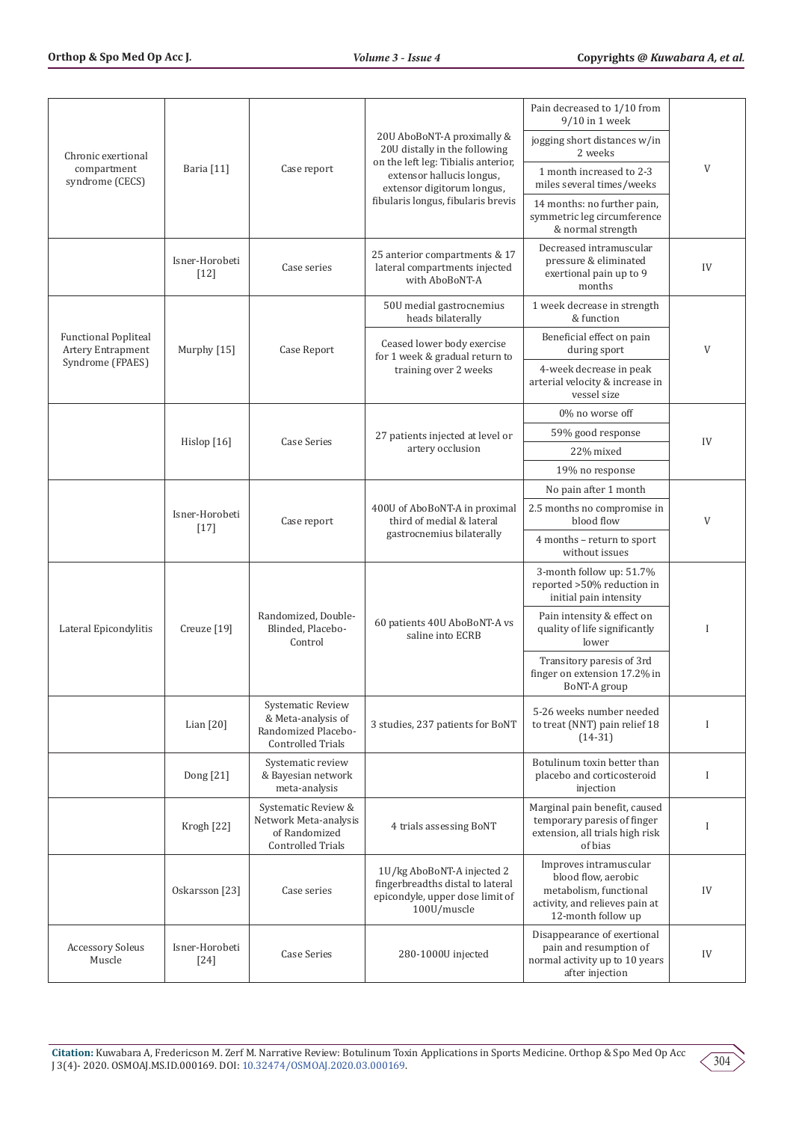|                                                  |                          |                                                                                            |                                                                                                                                                                                                               | Pain decreased to 1/10 from<br>9/10 in 1 week                                                                                   |             |  |
|--------------------------------------------------|--------------------------|--------------------------------------------------------------------------------------------|---------------------------------------------------------------------------------------------------------------------------------------------------------------------------------------------------------------|---------------------------------------------------------------------------------------------------------------------------------|-------------|--|
| Chronic exertional                               |                          | Case report                                                                                | 20U AboBoNT-A proximally &<br>20U distally in the following<br>on the left leg: Tibialis anterior,                                                                                                            | jogging short distances w/in<br>2 weeks                                                                                         |             |  |
| compartment<br>syndrome (CECS)                   | Baria [11]               |                                                                                            | extensor hallucis longus,<br>extensor digitorum longus,                                                                                                                                                       | 1 month increased to 2-3<br>miles several times/weeks                                                                           | V           |  |
|                                                  |                          |                                                                                            | fibularis longus, fibularis brevis                                                                                                                                                                            | 14 months: no further pain,<br>symmetric leg circumference<br>& normal strength                                                 |             |  |
|                                                  | Isner-Horobeti<br>$[12]$ | Case series                                                                                | 25 anterior compartments & 17<br>lateral compartments injected<br>with AboBoNT-A                                                                                                                              | Decreased intramuscular<br>pressure & eliminated<br>exertional pain up to 9<br>months                                           | IV          |  |
|                                                  |                          |                                                                                            | 50U medial gastrocnemius<br>heads bilaterally                                                                                                                                                                 | 1 week decrease in strength<br>& function                                                                                       |             |  |
| <b>Functional Popliteal</b><br>Artery Entrapment | Murphy [15]              | Case Report                                                                                | Ceased lower body exercise<br>for 1 week & gradual return to                                                                                                                                                  | Beneficial effect on pain<br>during sport                                                                                       | V           |  |
| Syndrome (FPAES)                                 |                          |                                                                                            | training over 2 weeks                                                                                                                                                                                         | 4-week decrease in peak<br>arterial velocity & increase in<br>vessel size                                                       |             |  |
|                                                  |                          |                                                                                            |                                                                                                                                                                                                               | 0% no worse off                                                                                                                 |             |  |
|                                                  | Hislop $[16]$            | <b>Case Series</b>                                                                         | 27 patients injected at level or                                                                                                                                                                              | 59% good response                                                                                                               | IV          |  |
|                                                  |                          |                                                                                            | artery occlusion                                                                                                                                                                                              | 22% mixed                                                                                                                       |             |  |
|                                                  |                          |                                                                                            |                                                                                                                                                                                                               | 19% no response                                                                                                                 |             |  |
|                                                  |                          |                                                                                            | No pain after 1 month<br>400U of AboBoNT-A in proximal<br>2.5 months no compromise in<br>third of medial & lateral<br>blood flow<br>gastrocnemius bilaterally<br>4 months - return to sport<br>without issues |                                                                                                                                 |             |  |
|                                                  | Isner-Horobeti<br>$[17]$ | Case report                                                                                |                                                                                                                                                                                                               |                                                                                                                                 | V           |  |
|                                                  |                          |                                                                                            |                                                                                                                                                                                                               |                                                                                                                                 |             |  |
|                                                  |                          |                                                                                            |                                                                                                                                                                                                               | 3-month follow up: 51.7%<br>reported >50% reduction in<br>initial pain intensity                                                |             |  |
| Lateral Epicondylitis<br>Creuze <sup>[19]</sup>  |                          | Randomized, Double-<br>Blinded, Placebo-<br>Control                                        | Pain intensity & effect on<br>60 patients 40U AboBoNT-A vs<br>quality of life significantly<br>saline into ECRB<br>lower<br>Transitory paresis of 3rd<br>finger on extension 17.2% in<br>BoNT-A group         |                                                                                                                                 | $\mathbf I$ |  |
|                                                  |                          |                                                                                            |                                                                                                                                                                                                               |                                                                                                                                 |             |  |
|                                                  | Lian [20]                | Systematic Review<br>& Meta-analysis of<br>Randomized Placebo-<br><b>Controlled Trials</b> | 3 studies, 237 patients for BoNT                                                                                                                                                                              | 5-26 weeks number needed<br>to treat (NNT) pain relief 18<br>$(14-31)$                                                          | $\mathbf I$ |  |
|                                                  | Dong [21]                | Systematic review<br>& Bayesian network<br>meta-analysis                                   |                                                                                                                                                                                                               | Botulinum toxin better than<br>placebo and corticosteroid<br>injection                                                          | $\bf{I}$    |  |
|                                                  | Krogh [22]               | Systematic Review &<br>Network Meta-analysis<br>of Randomized<br><b>Controlled Trials</b>  | 4 trials assessing BoNT                                                                                                                                                                                       | Marginal pain benefit, caused<br>temporary paresis of finger<br>extension, all trials high risk<br>of bias                      | I           |  |
|                                                  | Oskarsson [23]           | Case series                                                                                | 1U/kg AboBoNT-A injected 2<br>fingerbreadths distal to lateral<br>epicondyle, upper dose limit of<br>100U/muscle                                                                                              | Improves intramuscular<br>blood flow, aerobic<br>metabolism, functional<br>activity, and relieves pain at<br>12-month follow up | IV          |  |
| <b>Accessory Soleus</b><br>Muscle                | Isner-Horobeti<br>$[24]$ | <b>Case Series</b>                                                                         | 280-1000U injected                                                                                                                                                                                            | Disappearance of exertional<br>pain and resumption of<br>normal activity up to 10 years<br>after injection                      | IV          |  |
|                                                  |                          |                                                                                            |                                                                                                                                                                                                               |                                                                                                                                 |             |  |

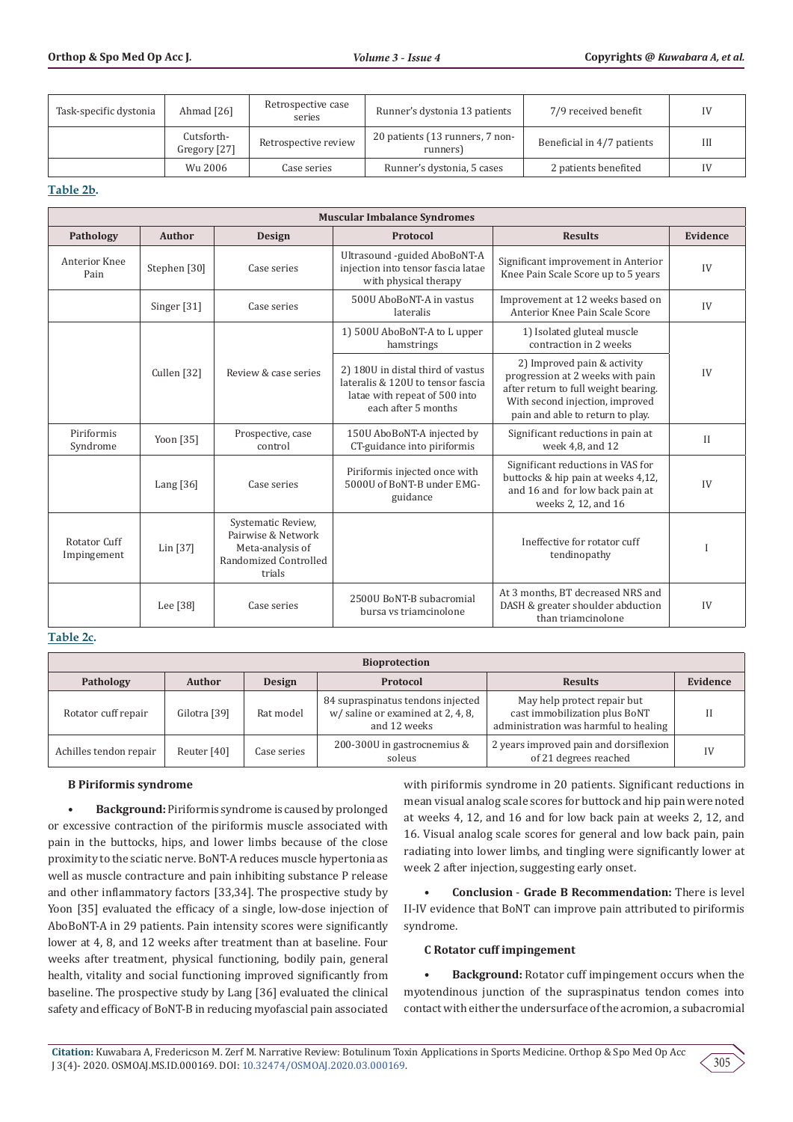| Task-specific dystonia | Ahmad [26]                 | Retrospective case<br>series | Runner's dystonia 13 patients               | 7/9 received benefit       | IV |
|------------------------|----------------------------|------------------------------|---------------------------------------------|----------------------------|----|
|                        | Cutsforth-<br>Gregory [27] | Retrospective review         | 20 patients (13 runners, 7 non-<br>runners) | Beneficial in 4/7 patients | Ш  |
|                        | Wu 2006                    | Case series                  | Runner's dystonia, 5 cases                  | 2 patients benefited       | IV |

## **Table 2b.**

| <b>Muscular Imbalance Syndromes</b> |                        |                                                                                                 |                                                                                                                                |                                                                                                                                                                                |              |
|-------------------------------------|------------------------|-------------------------------------------------------------------------------------------------|--------------------------------------------------------------------------------------------------------------------------------|--------------------------------------------------------------------------------------------------------------------------------------------------------------------------------|--------------|
| Pathology                           | <b>Author</b>          | <b>Design</b>                                                                                   | Protocol                                                                                                                       | <b>Results</b>                                                                                                                                                                 | Evidence     |
| Anterior Knee<br>Pain               | Stephen [30]           | Case series                                                                                     | Ultrasound -guided AboBoNT-A<br>injection into tensor fascia latae<br>with physical therapy                                    | Significant improvement in Anterior<br>Knee Pain Scale Score up to 5 years                                                                                                     | IV           |
|                                     | Singer <sup>[31]</sup> | Case series                                                                                     | 500U AboBoNT-A in vastus<br>lateralis                                                                                          | Improvement at 12 weeks based on<br>Anterior Knee Pain Scale Score                                                                                                             | IV           |
|                                     |                        |                                                                                                 | 1) 500U AboBoNT-A to L upper<br>hamstrings                                                                                     | 1) Isolated gluteal muscle<br>contraction in 2 weeks                                                                                                                           |              |
|                                     | Cullen [32]            | Review & case series                                                                            | 2) 180U in distal third of vastus<br>lateralis & 120U to tensor fascia<br>latae with repeat of 500 into<br>each after 5 months | 2) Improved pain & activity<br>progression at 2 weeks with pain<br>after return to full weight bearing.<br>With second injection, improved<br>pain and able to return to play. | IV           |
| Piriformis<br>Syndrome              | Yoon [35]              | Prospective, case<br>control                                                                    | 150U AboBoNT-A injected by<br>CT-guidance into piriformis                                                                      | Significant reductions in pain at<br>week 4,8, and 12                                                                                                                          | $\mathbf{H}$ |
|                                     | Lang $[36]$            | Case series                                                                                     | Piriformis injected once with<br>5000U of BoNT-B under EMG-<br>guidance                                                        | Significant reductions in VAS for<br>buttocks & hip pain at weeks 4,12,<br>and 16 and for low back pain at<br>weeks 2, 12, and 16                                              | IV           |
| Rotator Cuff<br>Impingement         | Lin $[37]$             | Systematic Review,<br>Pairwise & Network<br>Meta-analysis of<br>Randomized Controlled<br>trials |                                                                                                                                | Ineffective for rotator cuff<br>tendinopathy                                                                                                                                   |              |
|                                     | Lee [38]               | Case series                                                                                     | 2500U BoNT-B subacromial<br>bursa vs triamcinolone                                                                             | At 3 months, BT decreased NRS and<br>DASH & greater shoulder abduction<br>than triamcinolone                                                                                   | IV           |

## **Table 2c.**

| <b>Bioprotection</b>   |               |               |                                                                                        |                                                                                                       |          |
|------------------------|---------------|---------------|----------------------------------------------------------------------------------------|-------------------------------------------------------------------------------------------------------|----------|
| Pathology              | <b>Author</b> | <b>Design</b> | Protocol                                                                               | <b>Results</b>                                                                                        | Evidence |
| Rotator cuff repair    | Gilotra [39]  | Rat model     | 84 supraspinatus tendons injected<br>w/ saline or examined at 2, 4, 8,<br>and 12 weeks | May help protect repair but<br>cast immobilization plus BoNT<br>administration was harmful to healing |          |
| Achilles tendon repair | Reuter [40]   | Case series   | 200-300U in gastrocnemius &<br>soleus                                                  | 2 years improved pain and dorsiflexion<br>of 21 degrees reached                                       |          |

## **B Piriformis syndrome**

**• Background:** Piriformis syndrome is caused by prolonged or excessive contraction of the piriformis muscle associated with pain in the buttocks, hips, and lower limbs because of the close proximity to the sciatic nerve. BoNT-A reduces muscle hypertonia as well as muscle contracture and pain inhibiting substance P release and other inflammatory factors [33,34]. The prospective study by Yoon [35] evaluated the efficacy of a single, low-dose injection of AboBoNT-A in 29 patients. Pain intensity scores were significantly lower at 4, 8, and 12 weeks after treatment than at baseline. Four weeks after treatment, physical functioning, bodily pain, general health, vitality and social functioning improved significantly from baseline. The prospective study by Lang [36] evaluated the clinical safety and efficacy of BoNT-B in reducing myofascial pain associated

with piriformis syndrome in 20 patients. Significant reductions in mean visual analog scale scores for buttock and hip pain were noted at weeks 4, 12, and 16 and for low back pain at weeks 2, 12, and 16. Visual analog scale scores for general and low back pain, pain radiating into lower limbs, and tingling were significantly lower at week 2 after injection, suggesting early onset.

**• Conclusion** - **Grade B Recommendation:** There is level II-IV evidence that BoNT can improve pain attributed to piriformis syndrome.

#### **C Rotator cuff impingement**

**• Background:** Rotator cuff impingement occurs when the myotendinous junction of the supraspinatus tendon comes into contact with either the undersurface of the acromion, a subacromial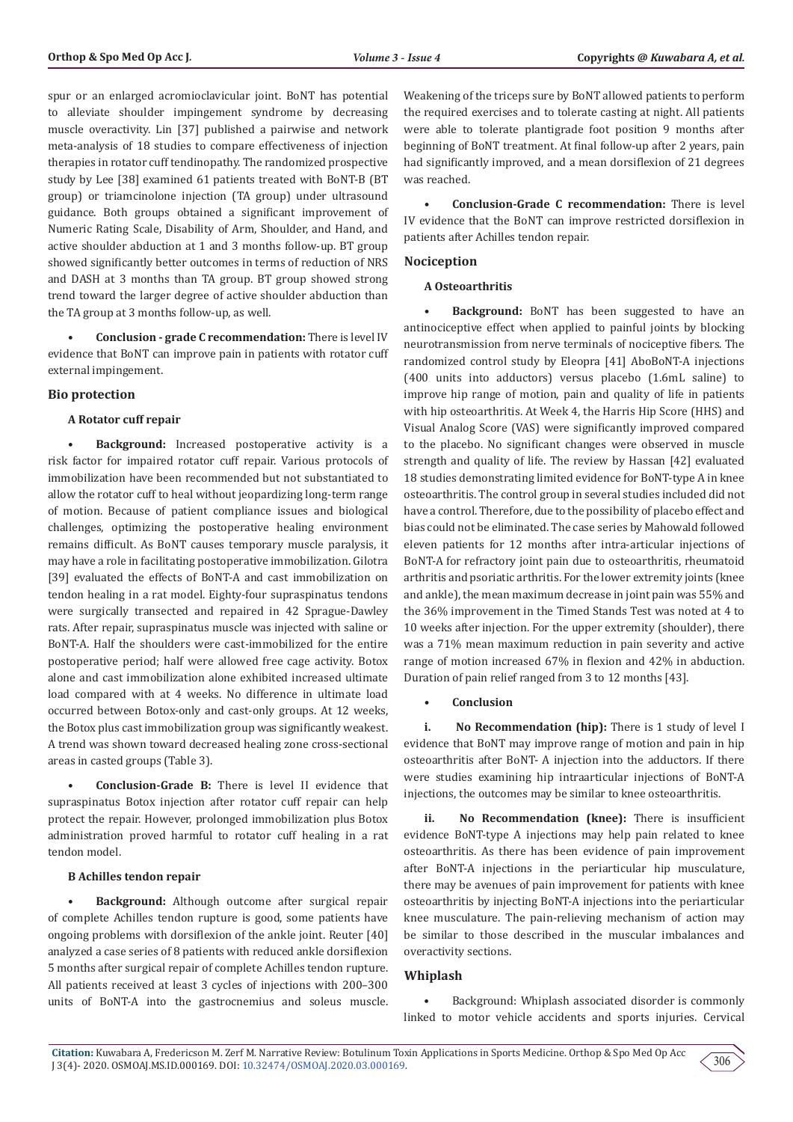spur or an enlarged acromioclavicular joint. BoNT has potential to alleviate shoulder impingement syndrome by decreasing muscle overactivity. Lin [37] published a pairwise and network meta-analysis of 18 studies to compare effectiveness of injection therapies in rotator cuff tendinopathy. The randomized prospective study by Lee [38] examined 61 patients treated with BoNT-B (BT group) or triamcinolone injection (TA group) under ultrasound guidance. Both groups obtained a significant improvement of Numeric Rating Scale, Disability of Arm, Shoulder, and Hand, and active shoulder abduction at 1 and 3 months follow-up. BT group showed significantly better outcomes in terms of reduction of NRS and DASH at 3 months than TA group. BT group showed strong trend toward the larger degree of active shoulder abduction than the TA group at 3 months follow-up, as well.

**• Conclusion - grade C recommendation:** There is level IV evidence that BoNT can improve pain in patients with rotator cuff external impingement.

#### **Bio protection**

#### **A Rotator cuff repair**

**• Background:** Increased postoperative activity is a risk factor for impaired rotator cuff repair. Various protocols of immobilization have been recommended but not substantiated to allow the rotator cuff to heal without jeopardizing long-term range of motion. Because of patient compliance issues and biological challenges, optimizing the postoperative healing environment remains difficult. As BoNT causes temporary muscle paralysis, it may have a role in facilitating postoperative immobilization. Gilotra [39] evaluated the effects of BoNT-A and cast immobilization on tendon healing in a rat model. Eighty-four supraspinatus tendons were surgically transected and repaired in 42 Sprague-Dawley rats. After repair, supraspinatus muscle was injected with saline or BoNT-A. Half the shoulders were cast-immobilized for the entire postoperative period; half were allowed free cage activity. Botox alone and cast immobilization alone exhibited increased ultimate load compared with at 4 weeks. No difference in ultimate load occurred between Botox-only and cast-only groups. At 12 weeks, the Botox plus cast immobilization group was significantly weakest. A trend was shown toward decreased healing zone cross-sectional areas in casted groups (Table 3).

**• Conclusion-Grade B:** There is level II evidence that supraspinatus Botox injection after rotator cuff repair can help protect the repair. However, prolonged immobilization plus Botox administration proved harmful to rotator cuff healing in a rat tendon model.

#### **B Achilles tendon repair**

**• Background:** Although outcome after surgical repair of complete Achilles tendon rupture is good, some patients have ongoing problems with dorsiflexion of the ankle joint. Reuter [40] analyzed a case series of 8 patients with reduced ankle dorsiflexion 5 months after surgical repair of complete Achilles tendon rupture. All patients received at least 3 cycles of injections with 200–300 units of BoNT-A into the gastrocnemius and soleus muscle.

Weakening of the triceps sure by BoNT allowed patients to perform the required exercises and to tolerate casting at night. All patients were able to tolerate plantigrade foot position 9 months after beginning of BoNT treatment. At final follow-up after 2 years, pain had significantly improved, and a mean dorsiflexion of 21 degrees was reached.

**• Conclusion-Grade C recommendation:** There is level IV evidence that the BoNT can improve restricted dorsiflexion in patients after Achilles tendon repair.

#### **Nociception**

#### **A Osteoarthritis**

**• Background:** BoNT has been suggested to have an antinociceptive effect when applied to painful joints by blocking neurotransmission from nerve terminals of nociceptive fibers. The randomized control study by Eleopra [41] AboBoNT-A injections (400 units into adductors) versus placebo (1.6mL saline) to improve hip range of motion, pain and quality of life in patients with hip osteoarthritis. At Week 4, the Harris Hip Score (HHS) and Visual Analog Score (VAS) were significantly improved compared to the placebo. No significant changes were observed in muscle strength and quality of life. The review by Hassan [42] evaluated 18 studies demonstrating limited evidence for BoNT-type A in knee osteoarthritis. The control group in several studies included did not have a control. Therefore, due to the possibility of placebo effect and bias could not be eliminated. The case series by Mahowald followed eleven patients for 12 months after intra-articular injections of BoNT-A for refractory joint pain due to osteoarthritis, rheumatoid arthritis and psoriatic arthritis. For the lower extremity joints (knee and ankle), the mean maximum decrease in joint pain was 55% and the 36% improvement in the Timed Stands Test was noted at 4 to 10 weeks after injection. For the upper extremity (shoulder), there was a 71% mean maximum reduction in pain severity and active range of motion increased 67% in flexion and 42% in abduction. Duration of pain relief ranged from 3 to 12 months [43].

#### **• Conclusion**

**i. No Recommendation (hip):** There is 1 study of level I evidence that BoNT may improve range of motion and pain in hip osteoarthritis after BoNT- A injection into the adductors. If there were studies examining hip intraarticular injections of BoNT-A injections, the outcomes may be similar to knee osteoarthritis.

**ii. No Recommendation (knee):** There is insufficient evidence BoNT-type A injections may help pain related to knee osteoarthritis. As there has been evidence of pain improvement after BoNT-A injections in the periarticular hip musculature, there may be avenues of pain improvement for patients with knee osteoarthritis by injecting BoNT-A injections into the periarticular knee musculature. The pain-relieving mechanism of action may be similar to those described in the muscular imbalances and overactivity sections.

## **Whiplash**

• Background: Whiplash associated disorder is commonly linked to motor vehicle accidents and sports injuries. Cervical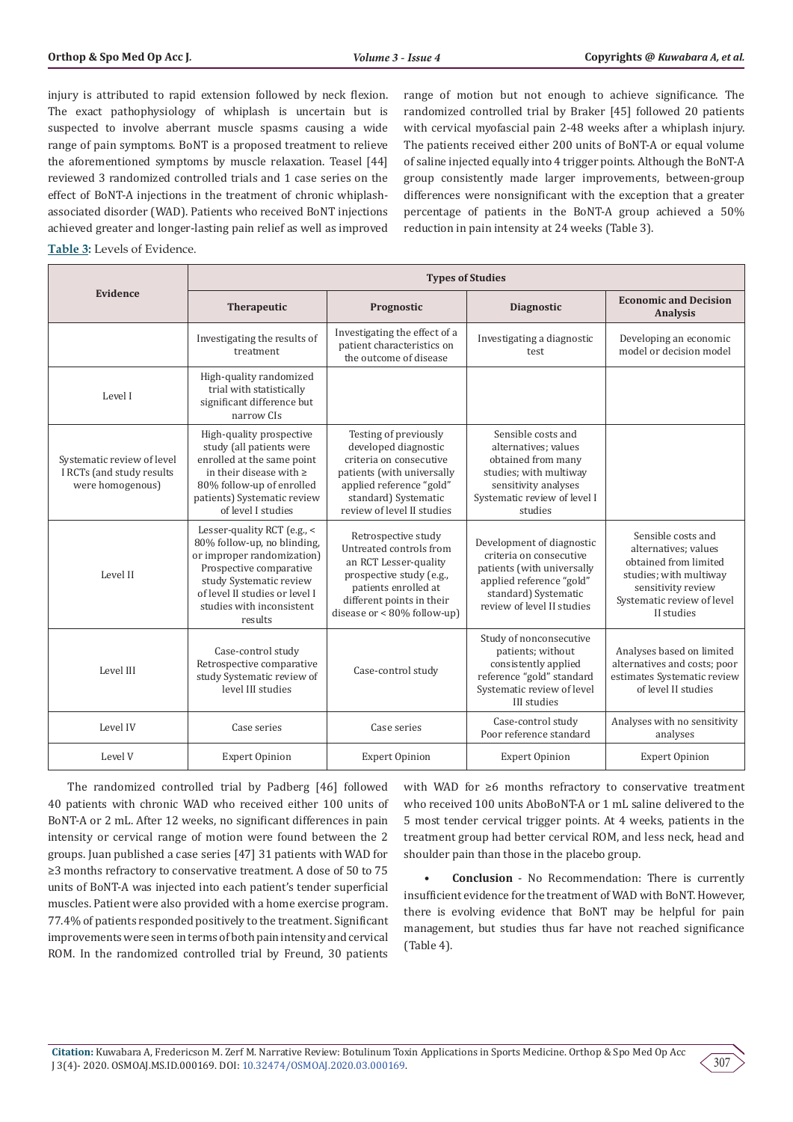injury is attributed to rapid extension followed by neck flexion. The exact pathophysiology of whiplash is uncertain but is suspected to involve aberrant muscle spasms causing a wide range of pain symptoms. BoNT is a proposed treatment to relieve the aforementioned symptoms by muscle relaxation. Teasel [44] reviewed 3 randomized controlled trials and 1 case series on the effect of BoNT-A injections in the treatment of chronic whiplashassociated disorder (WAD). Patients who received BoNT injections achieved greater and longer-lasting pain relief as well as improved range of motion but not enough to achieve significance. The randomized controlled trial by Braker [45] followed 20 patients with cervical myofascial pain 2-48 weeks after a whiplash injury. The patients received either 200 units of BoNT-A or equal volume of saline injected equally into 4 trigger points. Although the BoNT-A group consistently made larger improvements, between-group differences were nonsignificant with the exception that a greater percentage of patients in the BoNT-A group achieved a 50% reduction in pain intensity at 24 weeks (Table 3).

#### **Table 3:** Levels of Evidence.

|                                                                             | <b>Types of Studies</b>                                                                                                                                                                                                  |                                                                                                                                                                                            |                                                                                                                                                                      |                                                                                                                                                                 |
|-----------------------------------------------------------------------------|--------------------------------------------------------------------------------------------------------------------------------------------------------------------------------------------------------------------------|--------------------------------------------------------------------------------------------------------------------------------------------------------------------------------------------|----------------------------------------------------------------------------------------------------------------------------------------------------------------------|-----------------------------------------------------------------------------------------------------------------------------------------------------------------|
| Evidence                                                                    | Therapeutic                                                                                                                                                                                                              | Prognostic                                                                                                                                                                                 | <b>Diagnostic</b>                                                                                                                                                    | <b>Economic and Decision</b><br><b>Analysis</b>                                                                                                                 |
|                                                                             | Investigating the results of<br>treatment                                                                                                                                                                                | Investigating the effect of a<br>patient characteristics on<br>the outcome of disease                                                                                                      | Investigating a diagnostic<br>test                                                                                                                                   | Developing an economic<br>model or decision model                                                                                                               |
| Level I                                                                     | High-quality randomized<br>trial with statistically<br>significant difference but<br>narrow CIs                                                                                                                          |                                                                                                                                                                                            |                                                                                                                                                                      |                                                                                                                                                                 |
| Systematic review of level<br>I RCTs (and study results<br>were homogenous) | High-quality prospective<br>study (all patients were<br>enrolled at the same point<br>in their disease with $\ge$<br>80% follow-up of enrolled<br>patients) Systematic review<br>of level I studies                      | Testing of previously<br>developed diagnostic<br>criteria on consecutive<br>patients (with universally<br>applied reference "gold"<br>standard) Systematic<br>review of level II studies   | Sensible costs and<br>alternatives: values<br>obtained from many<br>studies; with multiway<br>sensitivity analyses<br>Systematic review of level I<br>studies        |                                                                                                                                                                 |
| Level II                                                                    | Lesser-quality RCT (e.g., <<br>80% follow-up, no blinding,<br>or improper randomization)<br>Prospective comparative<br>study Systematic review<br>of level II studies or level I<br>studies with inconsistent<br>results | Retrospective study<br>Untreated controls from<br>an RCT Lesser-quality<br>prospective study (e.g.,<br>patients enrolled at<br>different points in their<br>disease or $< 80\%$ follow-up) | Development of diagnostic<br>criteria on consecutive<br>patients (with universally<br>applied reference "gold"<br>standard) Systematic<br>review of level II studies | Sensible costs and<br>alternatives; values<br>obtained from limited<br>studies; with multiway<br>sensitivity review<br>Systematic review of level<br>II studies |
| Level III                                                                   | Case-control study<br>Retrospective comparative<br>study Systematic review of<br>level III studies                                                                                                                       | Case-control study                                                                                                                                                                         | Study of nonconsecutive<br>patients; without<br>consistently applied<br>reference "gold" standard<br>Systematic review of level<br>III studies                       | Analyses based on limited<br>alternatives and costs; poor<br>estimates Systematic review<br>of level II studies                                                 |
| Level IV                                                                    | Case series                                                                                                                                                                                                              | Case series                                                                                                                                                                                | Case-control study<br>Poor reference standard                                                                                                                        | Analyses with no sensitivity<br>analyses                                                                                                                        |
| Level V                                                                     | <b>Expert Opinion</b>                                                                                                                                                                                                    | <b>Expert Opinion</b>                                                                                                                                                                      | <b>Expert Opinion</b>                                                                                                                                                | <b>Expert Opinion</b>                                                                                                                                           |

The randomized controlled trial by Padberg [46] followed 40 patients with chronic WAD who received either 100 units of BoNT-A or 2 mL. After 12 weeks, no significant differences in pain intensity or cervical range of motion were found between the 2 groups. Juan published a case series [47] 31 patients with WAD for ≥3 months refractory to conservative treatment. A dose of 50 to 75 units of BoNT-A was injected into each patient's tender superficial muscles. Patient were also provided with a home exercise program. 77.4% of patients responded positively to the treatment. Significant improvements were seen in terms of both pain intensity and cervical ROM. In the randomized controlled trial by Freund, 30 patients

with WAD for ≥6 months refractory to conservative treatment who received 100 units AboBoNT-A or 1 mL saline delivered to the 5 most tender cervical trigger points. At 4 weeks, patients in the treatment group had better cervical ROM, and less neck, head and shoulder pain than those in the placebo group.

**• Conclusion** - No Recommendation: There is currently insufficient evidence for the treatment of WAD with BoNT. However, there is evolving evidence that BoNT may be helpful for pain management, but studies thus far have not reached significance (Table 4).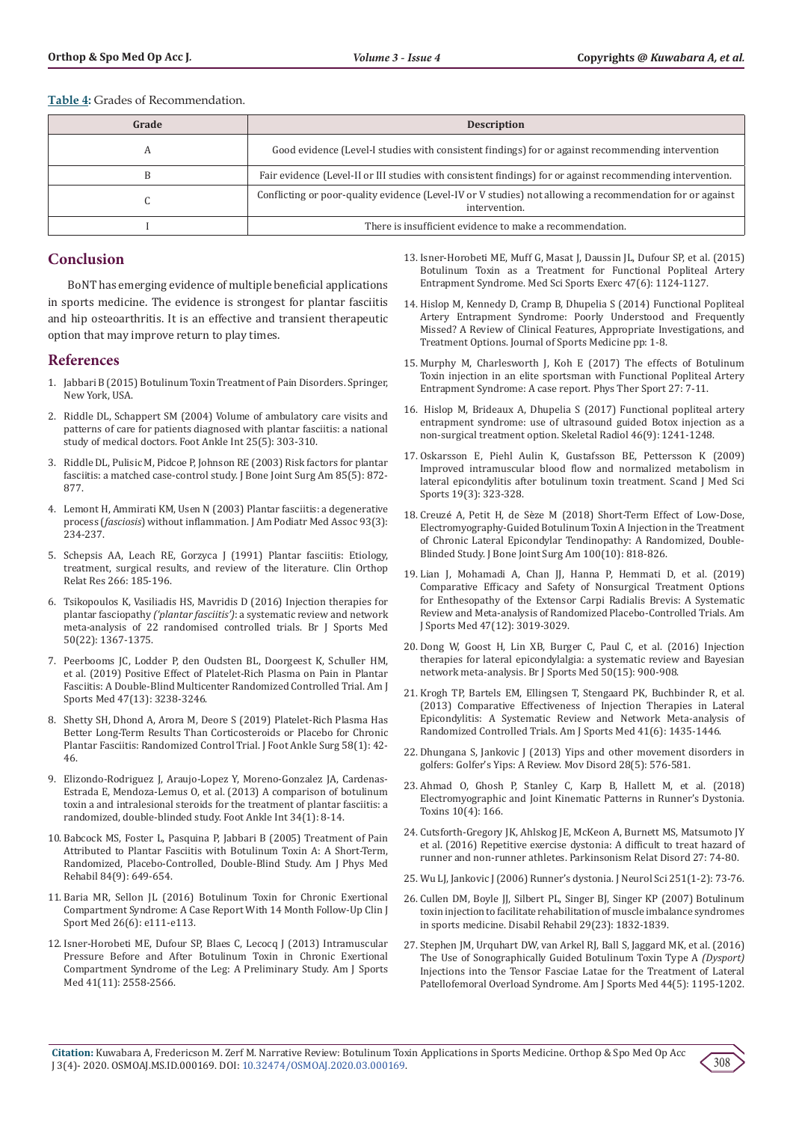**Table 4:** Grades of Recommendation.

| Grade | <b>Description</b>                                                                                                         |
|-------|----------------------------------------------------------------------------------------------------------------------------|
|       | Good evidence (Level-I studies with consistent findings) for or against recommending intervention                          |
|       | Fair evidence (Level-II or III studies with consistent findings) for or against recommending intervention.                 |
|       | Conflicting or poor-quality evidence (Level-IV or V studies) not allowing a recommendation for or against<br>intervention. |
|       | There is insufficient evidence to make a recommendation.                                                                   |

# **Conclusion**

BoNT has emerging evidence of multiple beneficial applications in sports medicine. The evidence is strongest for plantar fasciitis and hip osteoarthritis. It is an effective and transient therapeutic option that may improve return to play times.

## **References**

- 1. [Jabbari B \(2015\) Botulinum Toxin Treatment of Pain Disorders. Springer,](https://www.springer.com/gp/book/9781493925001)  [New York, USA.](https://www.springer.com/gp/book/9781493925001)
- 2. [Riddle DL, Schappert SM \(2004\) Volume of ambulatory care visits and](https://www.ncbi.nlm.nih.gov/pubmed/15134610)  [patterns of care for patients diagnosed with plantar fasciitis: a national](https://www.ncbi.nlm.nih.gov/pubmed/15134610)  [study of medical doctors. Foot Ankle Int 25\(5\): 303-310.](https://www.ncbi.nlm.nih.gov/pubmed/15134610)
- 3. [Riddle DL, Pulisic M, Pidcoe P, Johnson RE \(2003\) Risk factors for plantar](https://www.ncbi.nlm.nih.gov/pubmed/12728038)  [fasciitis: a matched case-control study. J Bone Joint Surg Am 85\(5\): 872-](https://www.ncbi.nlm.nih.gov/pubmed/12728038) [877.](https://www.ncbi.nlm.nih.gov/pubmed/12728038)
- 4. [Lemont H, Ammirati KM, Usen N \(2003\) Plantar fasciitis: a degenerative](https://www.ncbi.nlm.nih.gov/pubmed/12756315)  process (*fasciosis*) [without inflammation. J Am Podiatr Med Assoc 93\(3\):](https://www.ncbi.nlm.nih.gov/pubmed/12756315)  [234-237.](https://www.ncbi.nlm.nih.gov/pubmed/12756315)
- 5. [Schepsis AA, Leach RE, Gorzyca J \(1991\) Plantar fasciitis: Etiology,](https://www.ncbi.nlm.nih.gov/pubmed/2019049)  [treatment, surgical results, and review of the literature. Clin Orthop](https://www.ncbi.nlm.nih.gov/pubmed/2019049)  [Relat Res 266: 185-196.](https://www.ncbi.nlm.nih.gov/pubmed/2019049)
- 6. [Tsikopoulos K, Vasiliadis HS, Mavridis D \(2016\) Injection therapies for](https://www.ncbi.nlm.nih.gov/pubmed/27143138)  plantar fasciopathy *('plantar fasciitis')*[: a systematic review and network](https://www.ncbi.nlm.nih.gov/pubmed/27143138)  [meta-analysis of 22 randomised controlled trials. Br J Sports Med](https://www.ncbi.nlm.nih.gov/pubmed/27143138)  [50\(22\): 1367-1375.](https://www.ncbi.nlm.nih.gov/pubmed/27143138)
- 7. [Peerbooms JC, Lodder P, den Oudsten BL, Doorgeest K, Schuller HM,](https://www.ncbi.nlm.nih.gov/pubmed/31603721)  [et al. \(2019\) Positive Effect of Platelet-Rich Plasma on Pain in Plantar](https://www.ncbi.nlm.nih.gov/pubmed/31603721)  [Fasciitis: A Double-Blind Multicenter Randomized Controlled Trial. Am J](https://www.ncbi.nlm.nih.gov/pubmed/31603721)  [Sports Med 47\(13\): 3238-3246](https://www.ncbi.nlm.nih.gov/pubmed/31603721).
- 8. [Shetty SH, Dhond A, Arora M, Deore S \(2019\) Platelet-Rich Plasma Has](https://www.ncbi.nlm.nih.gov/pubmed/30448183)  [Better Long-Term Results Than Corticosteroids or Placebo for Chronic](https://www.ncbi.nlm.nih.gov/pubmed/30448183)  [Plantar Fasciitis: Randomized Control Trial. J Foot Ankle Surg 58\(1\): 42-](https://www.ncbi.nlm.nih.gov/pubmed/30448183) [46.](https://www.ncbi.nlm.nih.gov/pubmed/30448183)
- 9. [Elizondo-Rodriguez J, Araujo-Lopez Y, Moreno-Gonzalez JA, Cardenas-](https://www.ncbi.nlm.nih.gov/pubmed/23386757)[Estrada E, Mendoza-Lemus O, et al. \(2013\) A comparison of botulinum](https://www.ncbi.nlm.nih.gov/pubmed/23386757)  [toxin a and intralesional steroids for the treatment of plantar fasciitis: a](https://www.ncbi.nlm.nih.gov/pubmed/23386757)  [randomized, double-blinded study. Foot Ankle Int 34\(1\): 8-14.](https://www.ncbi.nlm.nih.gov/pubmed/23386757)
- 10. [Babcock MS, Foster L, Pasquina P, Jabbari B \(2005\) Treatment of Pain](https://www.ncbi.nlm.nih.gov/pubmed/16141740)  [Attributed to Plantar Fasciitis with Botulinum Toxin A: A Short-Term,](https://www.ncbi.nlm.nih.gov/pubmed/16141740)  [Randomized, Placebo-Controlled, Double-Blind Study. Am J Phys Med](https://www.ncbi.nlm.nih.gov/pubmed/16141740)  [Rehabil 84\(9\): 649-654.](https://www.ncbi.nlm.nih.gov/pubmed/16141740)
- 11. [Baria MR, Sellon JL \(2016\) Botulinum Toxin for Chronic Exertional](https://www.ncbi.nlm.nih.gov/pubmed/26784120)  [Compartment Syndrome: A Case Report With 14 Month Follow-Up Clin J](https://www.ncbi.nlm.nih.gov/pubmed/26784120)  [Sport Med 26\(6\): e111-e113.](https://www.ncbi.nlm.nih.gov/pubmed/26784120)
- 12. [Isner-Horobeti ME, Dufour SP, Blaes C, Lecocq J \(2013\) Intramuscular](https://www.ncbi.nlm.nih.gov/pubmed/23969633)  [Pressure Before and After Botulinum Toxin in Chronic Exertional](https://www.ncbi.nlm.nih.gov/pubmed/23969633)  [Compartment Syndrome of the Leg: A Preliminary Study. Am J Sports](https://www.ncbi.nlm.nih.gov/pubmed/23969633)  [Med 41\(11\): 2558-2566.](https://www.ncbi.nlm.nih.gov/pubmed/23969633)
- 13. [Isner-Horobeti ME, Muff G, Masat J, Daussin JL, Dufour SP, et al. \(2015\)](https://www.ncbi.nlm.nih.gov/pubmed/25290742) [Botulinum Toxin as a Treatment for Functional Popliteal Artery](https://www.ncbi.nlm.nih.gov/pubmed/25290742) [Entrapment Syndrome. Med Sci Sports Exerc 47\(6\): 1124-1127.](https://www.ncbi.nlm.nih.gov/pubmed/25290742)
- 14. [Hislop M, Kennedy D, Cramp B, Dhupelia S \(2014\) Functional Popliteal](https://www.hindawi.com/journals/jsm/2014/105953/) [Artery Entrapment Syndrome: Poorly Understood and Frequently](https://www.hindawi.com/journals/jsm/2014/105953/) [Missed? A Review of Clinical Features, Appropriate Investigations, and](https://www.hindawi.com/journals/jsm/2014/105953/) [Treatment Options. Journal of Sports Medicine pp: 1-8.](https://www.hindawi.com/journals/jsm/2014/105953/)
- 15. [Murphy M, Charlesworth J, Koh E \(2017\) The effects of Botulinum](https://www.ncbi.nlm.nih.gov/pubmed/28780341) [Toxin injection in an elite sportsman with Functional Popliteal Artery](https://www.ncbi.nlm.nih.gov/pubmed/28780341) [Entrapment Syndrome: A case report. Phys Ther Sport 27: 7-11.](https://www.ncbi.nlm.nih.gov/pubmed/28780341)
- 16. [Hislop M, Brideaux A, Dhupelia S \(2017\) Functional popliteal artery](https://www.ncbi.nlm.nih.gov/pubmed/28600622) [entrapment syndrome: use of ultrasound guided Botox injection as a](https://www.ncbi.nlm.nih.gov/pubmed/28600622) [non-surgical treatment option. Skeletal Radiol 46\(9\): 1241-1248.](https://www.ncbi.nlm.nih.gov/pubmed/28600622)
- 17. [Oskarsson E, Piehl Aulin K, Gustafsson BE, Pettersson K \(2009\)](https://www.ncbi.nlm.nih.gov/pubmed/18435689) [Improved intramuscular blood flow and normalized metabolism in](https://www.ncbi.nlm.nih.gov/pubmed/18435689) [lateral epicondylitis after botulinum toxin treatment.](https://www.ncbi.nlm.nih.gov/pubmed/18435689) Scand J Med Sci [Sports 19\(3\): 323-328.](https://www.ncbi.nlm.nih.gov/pubmed/18435689)
- 18. Creuzé A, Petit H, de Sè[ze M \(2018\) Short-Term Effect of Low-Dose,](https://www.ncbi.nlm.nih.gov/pubmed/29762276) [Electromyography-Guided Botulinum Toxin A Injection in the Treatment](https://www.ncbi.nlm.nih.gov/pubmed/29762276) [of Chronic Lateral Epicondylar Tendinopathy: A Randomized, Double-](https://www.ncbi.nlm.nih.gov/pubmed/29762276)Blinded Study. [J Bone Joint Surg Am 100\(10\): 818-826.](https://www.ncbi.nlm.nih.gov/pubmed/29762276)
- 19. [Lian J, Mohamadi A, Chan JJ, Hanna P, Hemmati D, et al. \(2019\)](https://www.ncbi.nlm.nih.gov/pubmed/30380334) [Comparative Efficacy and Safety of Nonsurgical Treatment Options](https://www.ncbi.nlm.nih.gov/pubmed/30380334) [for Enthesopathy of the Extensor Carpi Radialis Brevis: A Systematic](https://www.ncbi.nlm.nih.gov/pubmed/30380334) [Review and Meta-analysis of Randomized Placebo-Controlled Trials. Am](https://www.ncbi.nlm.nih.gov/pubmed/30380334) [J Sports Med 47\(12\): 3019-3029.](https://www.ncbi.nlm.nih.gov/pubmed/30380334)
- 20. Dong W, Goost H, Lin XB, [Burger C, Paul C, et al. \(2016\) Injection](https://www.ncbi.nlm.nih.gov/pubmed/26392595) [therapies for lateral epicondylalgia: a systematic review and Bayesian](https://www.ncbi.nlm.nih.gov/pubmed/26392595) [network meta-analysis. Br J Sports Med 50\(15\): 900-908.](https://www.ncbi.nlm.nih.gov/pubmed/26392595)
- 21. [Krogh TP, Bartels EM, Ellingsen T, Stengaard PK, Buchbinder R, et al.](https://www.ncbi.nlm.nih.gov/pubmed/22972856) [\(2013\) Comparative Effectiveness of Injection Therapies in Lateral](https://www.ncbi.nlm.nih.gov/pubmed/22972856) [Epicondylitis: A Systematic Review and Network Meta-analysis of](https://www.ncbi.nlm.nih.gov/pubmed/22972856) [Randomized Controlled Trials. Am J Sports Med 41\(6\): 1435-1446.](https://www.ncbi.nlm.nih.gov/pubmed/22972856)
- 22. [Dhungana S, Jankovic J \(2013\) Yips and other movement disorders in](https://www.ncbi.nlm.nih.gov/pubmed/23519739) [golfers: Golfer's Yips: A Review. Mov Disord 28\(5\): 576-581.](https://www.ncbi.nlm.nih.gov/pubmed/23519739)
- 23. [Ahmad O, Ghosh P, Stanley C, Karp B, Hallett M, et al. \(2018\)](https://www.ncbi.nlm.nih.gov/pubmed/29677101) [Electromyographic and Joint Kinematic Patterns in Runner's Dystonia.](https://www.ncbi.nlm.nih.gov/pubmed/29677101) [Toxins 10\(4\): 166.](https://www.ncbi.nlm.nih.gov/pubmed/29677101)
- 24. [Cutsforth-Gregory JK, Ahlskog JE, McKeon A, Burnett MS, Matsumoto JY](https://www.ncbi.nlm.nih.gov/pubmed/27017145) [et al. \(2016\) Repetitive exercise dystonia: A difficult to treat hazard of](https://www.ncbi.nlm.nih.gov/pubmed/27017145) [runner and non-runner athletes. Parkinsonism Relat Disord 27: 74-80.](https://www.ncbi.nlm.nih.gov/pubmed/27017145)
- 25. [Wu LJ, Jankovic J \(2006\) Runner's dystonia. J Neurol Sci 251\(1-2\): 73-76.](https://www.ncbi.nlm.nih.gov/pubmed/17097111)
- 26. [Cullen DM, Boyle JJ, Silbert PL, Singer BJ, Singer KP \(2007\) Botulinum](https://www.ncbi.nlm.nih.gov/pubmed/18033608) [toxin injection to facilitate rehabilitation of muscle imbalance syndromes](https://www.ncbi.nlm.nih.gov/pubmed/18033608) [in sports medicine. Disabil Rehabil 29\(23\): 1832-1839.](https://www.ncbi.nlm.nih.gov/pubmed/18033608)
- 27. [Stephen JM, Urquhart DW, van Arkel RJ, Ball S, Jaggard MK, et al. \(2016\)](https://www.ncbi.nlm.nih.gov/pubmed/26903213) [The Use of Sonographically Guided Botulinum Toxin Type A](https://www.ncbi.nlm.nih.gov/pubmed/26903213) *(Dysport)* [Injections into the Tensor Fasciae Latae for the Treatment of Lateral](https://www.ncbi.nlm.nih.gov/pubmed/26903213) [Patellofemoral Overload Syndrome. Am J Sports Med 44\(5\): 1195-1202.](https://www.ncbi.nlm.nih.gov/pubmed/26903213)